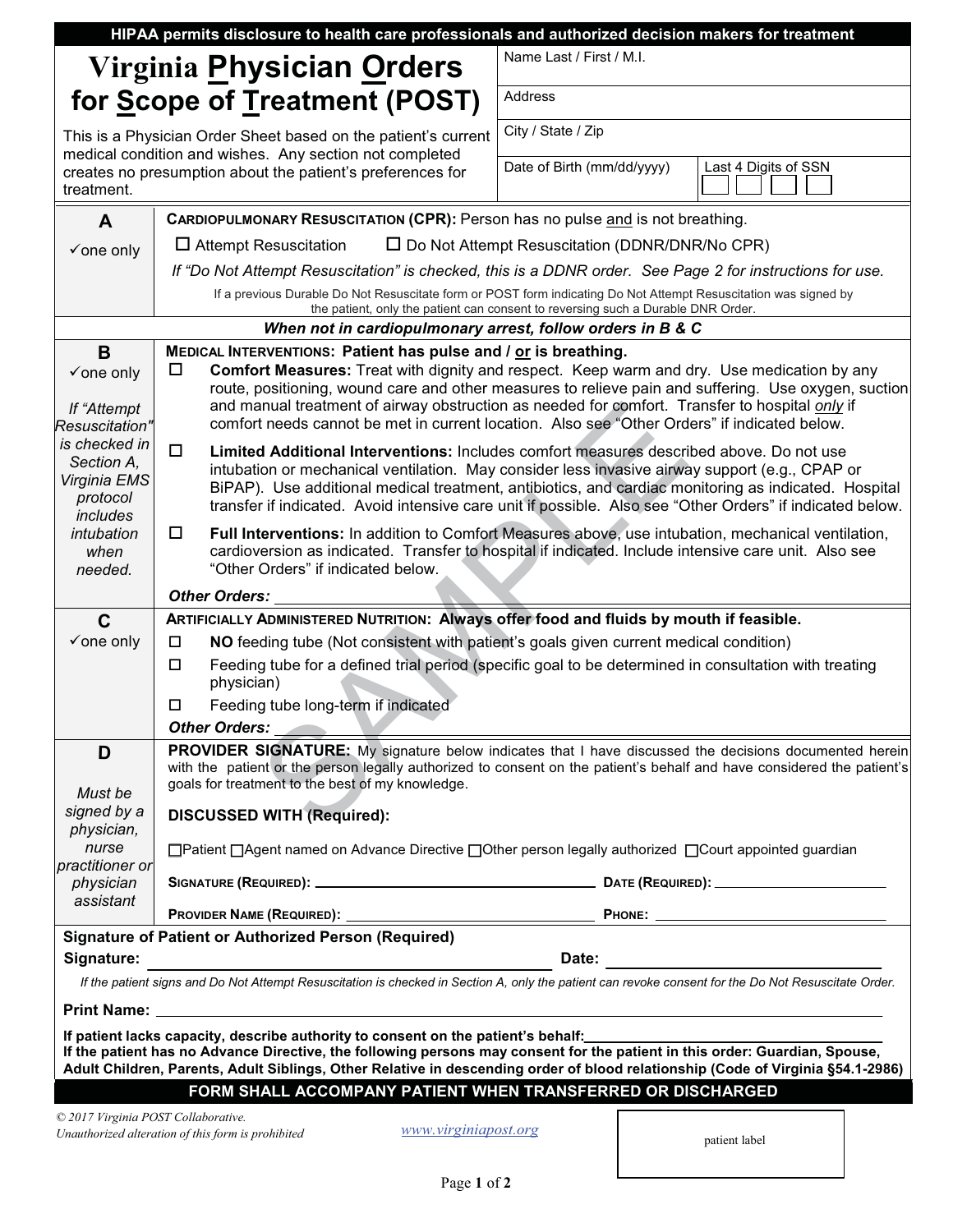|                                                                                                                                                                                                                                                                |                                                                                                                                                                                                                                                                                                                                             | HIPAA permits disclosure to health care professionals and authorized decision makers for treatment        |  |  |  |  |  |  |  |
|----------------------------------------------------------------------------------------------------------------------------------------------------------------------------------------------------------------------------------------------------------------|---------------------------------------------------------------------------------------------------------------------------------------------------------------------------------------------------------------------------------------------------------------------------------------------------------------------------------------------|-----------------------------------------------------------------------------------------------------------|--|--|--|--|--|--|--|
|                                                                                                                                                                                                                                                                | Virginia Physician Orders                                                                                                                                                                                                                                                                                                                   | Name Last / First / M.I.                                                                                  |  |  |  |  |  |  |  |
|                                                                                                                                                                                                                                                                | for Scope of Treatment (POST)                                                                                                                                                                                                                                                                                                               | Address                                                                                                   |  |  |  |  |  |  |  |
|                                                                                                                                                                                                                                                                | This is a Physician Order Sheet based on the patient's current                                                                                                                                                                                                                                                                              | City / State / Zip                                                                                        |  |  |  |  |  |  |  |
| treatment.                                                                                                                                                                                                                                                     | medical condition and wishes. Any section not completed<br>creates no presumption about the patient's preferences for                                                                                                                                                                                                                       | Date of Birth (mm/dd/yyyy)<br>Last 4 Digits of SSN                                                        |  |  |  |  |  |  |  |
| A                                                                                                                                                                                                                                                              | CARDIOPULMONARY RESUSCITATION (CPR): Person has no pulse and is not breathing.                                                                                                                                                                                                                                                              |                                                                                                           |  |  |  |  |  |  |  |
| $\checkmark$ one only                                                                                                                                                                                                                                          | $\Box$ Attempt Resuscitation<br>□ Do Not Attempt Resuscitation (DDNR/DNR/No CPR)                                                                                                                                                                                                                                                            |                                                                                                           |  |  |  |  |  |  |  |
|                                                                                                                                                                                                                                                                | If "Do Not Attempt Resuscitation" is checked, this is a DDNR order. See Page 2 for instructions for use.                                                                                                                                                                                                                                    |                                                                                                           |  |  |  |  |  |  |  |
|                                                                                                                                                                                                                                                                | If a previous Durable Do Not Resuscitate form or POST form indicating Do Not Attempt Resuscitation was signed by<br>the patient, only the patient can consent to reversing such a Durable DNR Order.                                                                                                                                        |                                                                                                           |  |  |  |  |  |  |  |
| When not in cardiopulmonary arrest, follow orders in B & C                                                                                                                                                                                                     |                                                                                                                                                                                                                                                                                                                                             |                                                                                                           |  |  |  |  |  |  |  |
| B                                                                                                                                                                                                                                                              | MEDICAL INTERVENTIONS: Patient has pulse and / or is breathing.                                                                                                                                                                                                                                                                             |                                                                                                           |  |  |  |  |  |  |  |
| $\checkmark$ one only                                                                                                                                                                                                                                          | Comfort Measures: Treat with dignity and respect. Keep warm and dry. Use medication by any<br>□<br>route, positioning, wound care and other measures to relieve pain and suffering. Use oxygen, suction                                                                                                                                     |                                                                                                           |  |  |  |  |  |  |  |
| If "Attempt                                                                                                                                                                                                                                                    | and manual treatment of airway obstruction as needed for comfort. Transfer to hospital only if                                                                                                                                                                                                                                              |                                                                                                           |  |  |  |  |  |  |  |
| <b>Resuscitation"</b>                                                                                                                                                                                                                                          | comfort needs cannot be met in current location. Also see "Other Orders" if indicated below.                                                                                                                                                                                                                                                |                                                                                                           |  |  |  |  |  |  |  |
| is checked in                                                                                                                                                                                                                                                  | $\Box$<br>Limited Additional Interventions: Includes comfort measures described above. Do not use                                                                                                                                                                                                                                           |                                                                                                           |  |  |  |  |  |  |  |
| Section A,<br>Virginia EMS                                                                                                                                                                                                                                     | intubation or mechanical ventilation. May consider less invasive airway support (e.g., CPAP or                                                                                                                                                                                                                                              |                                                                                                           |  |  |  |  |  |  |  |
| protocol                                                                                                                                                                                                                                                       | BiPAP). Use additional medical treatment, antibiotics, and cardiac monitoring as indicated. Hospital<br>transfer if indicated. Avoid intensive care unit if possible. Also see "Other Orders" if indicated below.                                                                                                                           |                                                                                                           |  |  |  |  |  |  |  |
| includes                                                                                                                                                                                                                                                       |                                                                                                                                                                                                                                                                                                                                             |                                                                                                           |  |  |  |  |  |  |  |
| intubation<br>when                                                                                                                                                                                                                                             | Full Interventions: In addition to Comfort Measures above, use intubation, mechanical ventilation,<br>$\Box$<br>cardioversion as indicated. Transfer to hospital if indicated. Include intensive care unit. Also see                                                                                                                        |                                                                                                           |  |  |  |  |  |  |  |
| needed.                                                                                                                                                                                                                                                        | "Other Orders" if indicated below.                                                                                                                                                                                                                                                                                                          |                                                                                                           |  |  |  |  |  |  |  |
|                                                                                                                                                                                                                                                                | Other Orders:                                                                                                                                                                                                                                                                                                                               |                                                                                                           |  |  |  |  |  |  |  |
| $\mathbf C$                                                                                                                                                                                                                                                    | ARTIFICIALLY ADMINISTERED NUTRITION: Always offer food and fluids by mouth if feasible.                                                                                                                                                                                                                                                     |                                                                                                           |  |  |  |  |  |  |  |
| $\checkmark$ one only                                                                                                                                                                                                                                          | NO feeding tube (Not consistent with patient's goals given current medical condition)<br>$\Box$                                                                                                                                                                                                                                             |                                                                                                           |  |  |  |  |  |  |  |
|                                                                                                                                                                                                                                                                | Feeding tube for a defined trial period (specific goal to be determined in consultation with treating<br>$\Box$<br>physician)                                                                                                                                                                                                               |                                                                                                           |  |  |  |  |  |  |  |
|                                                                                                                                                                                                                                                                | Feeding tube long-term if indicated<br>$\Box$                                                                                                                                                                                                                                                                                               |                                                                                                           |  |  |  |  |  |  |  |
|                                                                                                                                                                                                                                                                | <b>Other Orders:</b>                                                                                                                                                                                                                                                                                                                        |                                                                                                           |  |  |  |  |  |  |  |
| D                                                                                                                                                                                                                                                              | <b>PROVIDER SIGNATURE:</b> My signature below indicates that I have discussed the decisions documented herein<br>with the patient or the person legally authorized to consent on the patient's behalf and have considered the patient's<br>goals for treatment to the best of my knowledge.<br>Must be<br><b>DISCUSSED WITH (Required):</b> |                                                                                                           |  |  |  |  |  |  |  |
| signed by a                                                                                                                                                                                                                                                    |                                                                                                                                                                                                                                                                                                                                             |                                                                                                           |  |  |  |  |  |  |  |
| physician,                                                                                                                                                                                                                                                     |                                                                                                                                                                                                                                                                                                                                             |                                                                                                           |  |  |  |  |  |  |  |
| nurse<br>practitioner or                                                                                                                                                                                                                                       |                                                                                                                                                                                                                                                                                                                                             | □ Patient □ Agent named on Advance Directive □ Other person legally authorized □ Court appointed guardian |  |  |  |  |  |  |  |
| physician<br>assistant                                                                                                                                                                                                                                         |                                                                                                                                                                                                                                                                                                                                             |                                                                                                           |  |  |  |  |  |  |  |
|                                                                                                                                                                                                                                                                |                                                                                                                                                                                                                                                                                                                                             |                                                                                                           |  |  |  |  |  |  |  |
|                                                                                                                                                                                                                                                                | <b>Signature of Patient or Authorized Person (Required)</b>                                                                                                                                                                                                                                                                                 |                                                                                                           |  |  |  |  |  |  |  |
| Signature:                                                                                                                                                                                                                                                     |                                                                                                                                                                                                                                                                                                                                             |                                                                                                           |  |  |  |  |  |  |  |
| If the patient signs and Do Not Attempt Resuscitation is checked in Section A, only the patient can revoke consent for the Do Not Resuscitate Order.                                                                                                           |                                                                                                                                                                                                                                                                                                                                             |                                                                                                           |  |  |  |  |  |  |  |
| If patient lacks capacity, describe authority to consent on the patient's behalf:                                                                                                                                                                              |                                                                                                                                                                                                                                                                                                                                             |                                                                                                           |  |  |  |  |  |  |  |
| If the patient has no Advance Directive, the following persons may consent for the patient in this order: Guardian, Spouse,<br>Adult Children, Parents, Adult Siblings, Other Relative in descending order of blood relationship (Code of Virginia §54.1-2986) |                                                                                                                                                                                                                                                                                                                                             |                                                                                                           |  |  |  |  |  |  |  |
|                                                                                                                                                                                                                                                                | FORM SHALL ACCOMPANY PATIENT WHEN TRANSFERRED OR DISCHARGED                                                                                                                                                                                                                                                                                 |                                                                                                           |  |  |  |  |  |  |  |
| © 2017 Virginia POST Collaborative.                                                                                                                                                                                                                            |                                                                                                                                                                                                                                                                                                                                             |                                                                                                           |  |  |  |  |  |  |  |
|                                                                                                                                                                                                                                                                | www.virginiapost.org<br>Unauthorized alteration of this form is prohibited                                                                                                                                                                                                                                                                  | patient label                                                                                             |  |  |  |  |  |  |  |